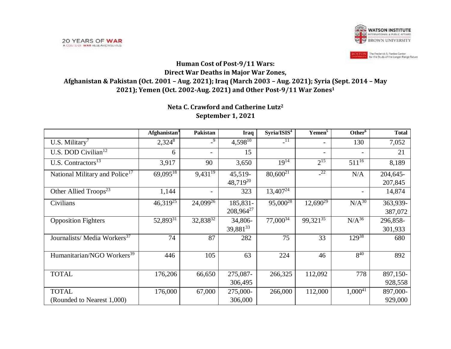

## **Human Cost of Post-9/11 Wars: Direct War Deaths in Major War Zones, Afghanistan & Pakistan (Oct. 2001 – Aug. 2021); Iraq (March 2003 – Aug. 2021); Syria (Sept. 2014 – May 2021); Yemen (Oct. 2002-Aug. 2021) and Other Post-9/11 War Zones<sup>1</sup>**

## **Neta C. Crawford and Catherine Lutz<sup>2</sup> September 1, 2021**

|                                            | $A$ fghanistan <sup>3</sup> | Pakistan                 | Iraq                  | Syria/ISIS <sup>4</sup> | Yemen <sup>5</sup>       | Other <sup>6</sup>       | <b>Total</b> |
|--------------------------------------------|-----------------------------|--------------------------|-----------------------|-------------------------|--------------------------|--------------------------|--------------|
| U.S. Military <sup>7</sup>                 | $2,324^8$                   | $-9$                     | $4,598^{10}$          | $\overline{11}$         |                          | 130                      | 7,052        |
| U.S. DOD Civilian <sup>12</sup>            | 6                           | $\sim$                   | 15                    |                         | $\overline{\phantom{0}}$ | $\overline{\phantom{a}}$ | 21           |
| U.S. Contractors $^{13}$                   | 3,917                       | 90                       | 3,650                 | $19^{14}$               | $2^{15}$                 | $511^{16}$               | 8,189        |
| National Military and Police <sup>17</sup> | $69,095^{18}$               | $9,431^{19}$             | 45,519-               | $80,600^{21}$           | $-22$                    | N/A                      | 204,645-     |
|                                            |                             |                          | $48,719^{20}$         |                         |                          |                          | 207,845      |
| Other Allied Troops <sup>23</sup>          | 1,144                       | $\overline{\phantom{0}}$ | 323                   | $13,407^{24}$           |                          | $\overline{\phantom{a}}$ | 14,874       |
| Civilians                                  | $46,319^{25}$               | $24,099^{26}$            | 185,831-              | $95,000^{28}$           | $12,690^{29}$            | $N/A^{30}$               | $363,939 -$  |
|                                            |                             |                          | 208,964 <sup>27</sup> |                         |                          |                          | 387,072      |
| <b>Opposition Fighters</b>                 | 52,893 <sup>31</sup>        | 32,838 <sup>32</sup>     | 34,806-               | $77,000^{34}$           | $99,321^{35}$            | $N/A^{36}$               | 296,858-     |
|                                            |                             |                          | 39,881 <sup>33</sup>  |                         |                          |                          | 301,933      |
| Journalists/ Media Workers <sup>37</sup>   | 74                          | 87                       | 282                   | 75                      | 33                       | $129^{38}$               | 680          |
|                                            |                             |                          |                       |                         |                          |                          |              |
| Humanitarian/NGO Workers <sup>39</sup>     | 446                         | 105                      | 63                    | 224                     | 46                       | $8^{40}$                 | 892          |
|                                            |                             |                          |                       |                         |                          |                          |              |
| <b>TOTAL</b>                               | 176,206                     | 66,650                   | 275,087-              | 266,325                 | 112,092                  | 778                      | $897,150$ -  |
|                                            |                             |                          | 306,495               |                         |                          |                          | 928,558      |
| <b>TOTAL</b>                               | 176,000                     | 67,000                   | 275,000-              | 266,000                 | 112,000                  | $1,000^{41}$             | $897,000$ -  |
| (Rounded to Nearest 1,000)                 |                             |                          | 306,000               |                         |                          |                          | 929,000      |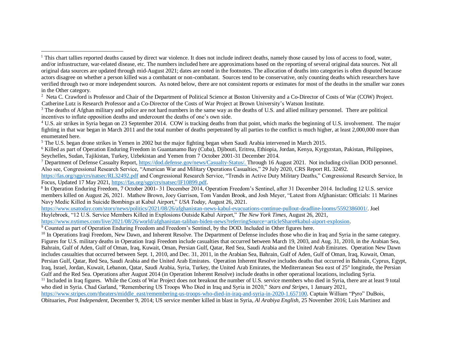<sup>2</sup> Neta C. Crawford is Professor and Chair of the Department of Political Science at Boston University and a Co-Director of Costs of War (COW) Project. Catherine Lutz is Research Professor and a Co-Director of the Costs of War Project at Brown University's Watson Institute.

<sup>3</sup> The deaths of Afghan military and police are not hard numbers in the same way as the deaths of U.S. and allied military personnel. There are political incentives to inflate opposition deaths and undercount the deaths of one's own side.

<sup>4</sup> U.S. air strikes in Syria began on 23 September 2014. COW is tracking deaths from that point, which marks the beginning of U.S. involvement. The major fighting in that war began in March 2011 and the total number of deaths perpetrated by all parties to the conflict is much higher, at least 2,000,000 more than enumerated here.

<sup>5</sup> The U.S. began drone strikes in Yemen in 2002 but the major fighting began when Saudi Arabia intervened in March 2015.

 $\overline{a}$ 

<sup>6</sup> Killed as part of Operation Enduring Freedom in Guantanamo Bay (Cuba), Djibouti, Eritrea, Ethiopia, Jordan, Kenya, Kyrgyzstan, Pakistan, Philippines, Seychelles, Sudan, Tajikistan, Turkey, Uzbekistan and Yemen from 7 October 2001-31 December 2014.

<sup>7</sup> Department of Defense Casualty Report, [https://dod.defense.gov/news/Casualty-Status/.](https://dod.defense.gov/news/Casualty-Status/) Through 16 August 2021. Not including civilian DOD personnel. Also see, Congressional Research Service, "American War and Military Operations Casualties," 29 July 2020, CRS Report RL 32492.

<https://fas.org/sgp/crs/natsec/RL32492.pdf> and Congressional Research Service, "Trends in Active Duty Military Deaths," Congressional Research Service, In Focus, Updated 17 May 2021, [https://fas.org/sgp/crs/natsec/IF10899.pdf.](https://fas.org/sgp/crs/natsec/IF10899.pdf)

<sup>8</sup> In Operation Enduring Freedom, 7 October 2001- 31 December 2014, Operation Freedom's Sentinel, after 31 December 2014. Including 12 U.S. service members killed on August 26, 2021. Mathew Brown, Joey Garrison, Tom Vanden Brook, and Josh Meyer, "Latest from Afghanistan: Officials: 11 Marines Navy Medic Killed in Suicide Bombings at Kabul Airport," *USA Today*, August 26, 2021.

[https://www.usatoday.com/story/news/politics/2021/08/26/afghanistan-news-kabul-evacuations-continue-pullout-deadline-looms/5592386001/.](https://www.usatoday.com/story/news/politics/2021/08/26/afghanistan-news-kabul-evacuations-continue-pullout-deadline-looms/5592386001/) Joel

Huylebroek, "12 U.S. Service Members Killed in Explosions Outside Kabul Airport," *The New York Times*, August 26, 2021,

[https://www.nytimes.com/live/2021/08/26/world/afghanistan-taliban-biden-news?referringSource=articleShare#kabul-aiport-explosion.](https://www.nytimes.com/live/2021/08/26/world/afghanistan-taliban-biden-news?referringSource=articleShare#kabul-aiport-explosion)

<sup>9</sup> Counted as part of Operation Enduring Freedom and Freedom's Sentinel, by the DOD. Included in Other figures here.

<sup>10</sup> In Operations Iraqi Freedom, New Dawn, and Inherent Resolve. The Department of Defense includes those who die in Iraq and Syria in the same category. Figures for U.S. military deaths in Operation Iraqi Freedom include casualties that occurred between March 19, 2003, and Aug. 31, 2010, in the Arabian Sea, Bahrain, Gulf of Aden, Gulf of Oman, Iraq, Kuwait, Oman, Persian Gulf, Qatar, Red Sea, Saudi Arabia and the United Arab Emirates. Operation New Dawn includes casualties that occurred between Sept. 1, 2010, and Dec. 31, 2011, in the Arabian Sea, Bahrain, Gulf of Aden, Gulf of Oman, Iraq, Kuwait, Oman, Persian Gulf, Qatar, Red Sea, Saudi Arabia and the United Arab Emirates. Operation Inherent Resolve includes deaths that occurred in Bahrain, Cyprus, Egypt, Iraq, Israel, Jordan, Kuwait, Lebanon, Qatar, Saudi Arabia, Syria, Turkey, the United Arab Emirates, the Mediterranean Sea east of 25° longitude, the Persian Gulf and the Red Sea. Operations after August 2014 (in Operation Inherent Resolve) include deaths in other operational locations, including Syria. <sup>11</sup> Included in Iraq figures. While the Costs of War Project does not breakout the number of U.S. service members who died in Syria, there are at least 9 total who died in Syria. Chad Garland, "Remembering US Troops Who Died in Iraq and Syria in 2020," *Stars and Stripes*, 1 January 2021,

[https://www.stripes.com/theaters/middle\\_east/remembering-us-troops-who-died-in-iraq-and-syria-in-2020-1.657100.](https://www.stripes.com/theaters/middle_east/remembering-us-troops-who-died-in-iraq-and-syria-in-2020-1.657100) Captain William "Pyro" DuBois,

Obituaries, *Post Independent*, December 9, 2014; US service member killed in blast in Syria, *Al Arabiya English,* 25 November 2016; Luis Martinez and

<sup>&</sup>lt;sup>1</sup> This chart tallies reported deaths caused by direct war violence. It does not include indirect deaths, namely those caused by loss of access to food, water, and/or infrastructure, war-related disease, etc. The numbers included here are approximations based on the reporting of several original data sources. Not all original data sources are updated through mid-August 2021; dates are noted in the footnotes. The allocation of deaths into categories is often disputed because actors disagree on whether a person killed was a combatant or non-combatant. Sources tend to be conservative, only counting deaths which researchers have verified through two or more independent sources. As noted below, there are not consistent reports or estimates for most of the deaths in the smaller war zones in the Other category.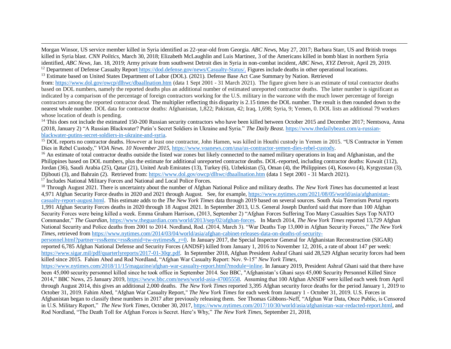Morgan Winsor, US service member killed in Syria identified as 22-year-old from Georgia. *ABC New*s, May 27, 2017; Barbara Starr, US and British troops killed in Syria blast. *CNN Politics*, March 30, 2018; Elizabeth McLaughlin and Luis Martinez, 3 of the Americans killed in bomb blast in northern Syria identified, *ABC News*, Jan. 18, 2019; Army private from southwest Detroit dies in Syria in non-combat incident, *ABC News, XYZ Detroit*, April 29, 2019. <sup>12</sup> Department of Defense Casualty Report [https://dod.defense.gov/news/Casualty-Status/.](https://dod.defense.gov/news/Casualty-Status/) Figures include deaths in other operational locations.

<sup>13</sup> Estimate based on United States Department of Labor (DOL). (2021). Defense Base Act Case Summary by Nation. Retrieved from: <https://www.dol.gov/owcp/dlhwc/dbaallnation.htm> (data 1 Sept 2001 - 31 March 2021). The figure given here is an estimate of total contractor deaths based on DOL numbers, namely the reported deaths plus an additional number of estimated unreported contractor deaths. The latter number is significant as indicated by a comparison of the percentage of foreign contractors working for the U.S. military in the warzone with the much lower percentage of foreign contractors among the reported contractor dead. The multiplier reflecting this disparity is 2.15 times the DOL number. The result is then rounded down to the nearest whole number. DOL data for contractor deaths: Afghanistan, 1,822; Pakistan, 42; Iraq, 1,698; Syria, 9; Yemen, 0. DOL lists an additional 79 workers whose location of death is pending.

<sup>14</sup> This does not include the estimated 150-200 Russian security contractors who have been killed between October 2015 and December 2017; Nemtsova, Anna (2018, January 2) "A Russian Blackwater? Putin's Secret Soldiers in Ukraine and Syria." *The Daily Beast*. [https://www.thedailybeast.com/a-russian](https://www.thedailybeast.com/a-russian-blackwater-putins-secret-soldiers-in-ukraine-and-syria)[blackwater-putins-secret-soldiers-in-ukraine-and-syria.](https://www.thedailybeast.com/a-russian-blackwater-putins-secret-soldiers-in-ukraine-and-syria)

<sup>15</sup> DOL reports no contractor deaths. However at least one contractor, John Hamen, was killed in Houthi custody in Yemen in 2015. "US Contractor in Yemen Dies in Rebel Custody," *VOA News. 10 November 2015,* [https://www.voanews.com/usa/us-contractor-yemen-dies-rebel-custody.](https://www.voanews.com/usa/us-contractor-yemen-dies-rebel-custody) 

<sup>16</sup> An estimate of total contractor deaths outside the listed war zones but likely connected to the named military operations in Iraq and Afghanistan, and the Philippines based on DOL numbers, plus the estimate for additional unreported contractor deaths. DOL-reported, including contractor deaths: Kuwait (112), Jordan (36), Saudi Arabia (25), Qatar (21), United Arab Emirates (13), Turkey (6), Uzbekistan (5), Oman (4), the Philippines (4), Kosovo (4), Kyrgyzstan (3), Djibouti (3), and Bahrain (2). Retrieved from: <https://www.dol.gov/owcp/dlhwc/dbaallnation.htm> (data 1 Sept 2001 - 31 March 2021).

<sup>17</sup> Includes National Military Forces and National and Local Police Forces.

 $\overline{a}$ 

<sup>18</sup> Through August 2021. There is uncertainty about the number of Afghan National Police and military deaths. *The New York Times* has documented at least 4,971 Afghan Security Force deaths in 2020 and 2021 through August. See, for example, [https://www.nytimes.com/2021/08/05/world/asia/afghanistan](https://www.nytimes.com/2021/08/05/world/asia/afghanistan-casualty-report-august.html)[casualty-report-august.html.](https://www.nytimes.com/2021/08/05/world/asia/afghanistan-casualty-report-august.html) This estimate adds to the *The New York Times* data through 2019 based on several sources. South Asia Terrorism Portal reports 1,991 Afghan Security Forces deaths in 2020 through 18 August 2021. In September 2013, U.S. General Joseph Dunford said that more than 100 Afghan Security Forces were being killed a week. Emma Graham Harrison, (2013, September 2) "Afghan Forces Suffering Too Many Casualties Says Top NATO Commander," *The Guardian,* [https://www.theguardian.com/world/2013/sep/02/afghan-forces.](https://www.theguardian.com/world/2013/sep/02/afghan-forces) In March 2014, *The New York Times* reported 13,729 Afghan National Security and Police deaths from 2001 to 2014. Nordland, Rod. (2014, March 3). "War Deaths Top 13,000 in Afghan Security Forces," *The New York Times,* retrieved from [https://www.nytimes.com/2014/03/04/world/asia/afghan-cabinet-releases-data-on-deaths-of-security-](https://www.nytimes.com/2014/03/04/world/asia/afghan-cabinet-releases-data-on-deaths-of-security-personnel.html?partner=rss&emc=rss&smid=tw-nytimes&_r=0)

[personnel.html?partner=rss&emc=rss&smid=tw-nytimes&\\_r=0.](https://www.nytimes.com/2014/03/04/world/asia/afghan-cabinet-releases-data-on-deaths-of-security-personnel.html?partner=rss&emc=rss&smid=tw-nytimes&_r=0) In January 2017, the Special Inspector General for Afghanistan Reconstruction (SIGAR) reported 6,785 Afghan National Defense and Security Forces (ANDSF) killed from January 1, 2016 to November 12, 2016, a rate of about 147 per week: [https://www.sigar.mil/pdf/quarterlyreports/2017-01-30qr.pdf.](https://www.sigar.mil/pdf/quarterlyreports/2017-01-30qr.pdf) In September 2018, Afghan President Ashraf Ghani said 28,529 Afghan security forces had been killed since 2015. Fahim Abed and Rod Nordland, "Afghan War Casualty Report: Nov. 9-15" *New York Times*,

[https://www.nytimes.com/2018/11/15/magazine/afghan-war-casualty-report.html?module=inline.](https://www.nytimes.com/2018/11/15/magazine/afghan-war-casualty-report.html?module=inline) In January 2019, President Ashraf Ghani said that there have been 45,000 security personnel killed since he took office in September 2014. See BBC, "Afghanistan's Ghani says 45,000 Security Personnel Killed Since 2014," BBC News, 25 January 2019, [https://www.bbc.com/news/world-asia-47005558.](https://www.bbc.com/news/world-asia-47005558) Assuming that 100 Afghan ANSDF were killed each week from April through August 2014, this gives an additional 2,000 deaths. *The New York Times* reported 3,395 Afghan security force deaths for the period January 1, 2019 to October 31, 2019. Fahim Abed, "Afghan War Casualty Report," *The New York Times* for each week from January 1 - October 31, 2019. U.S. Forces in Afghanistan began to classify these numbers in 2017 after previously releasing them. See Thomas Gibbons-Neff, "Afghan War Data, Once Public, is Censored in U.S. Military Report," *The New York Times*, October 30, 2017, [https://www.nytimes.com/2017/10/30/world/asia/afghanistan-war-redacted-report.html,](https://www.nytimes.com/2017/10/30/world/asia/afghanistan-war-redacted-report.html) and Rod Nordland, "The Death Toll for Afghan Forces is Secret. Here's Why," *The New York Times*, September 21, 2018,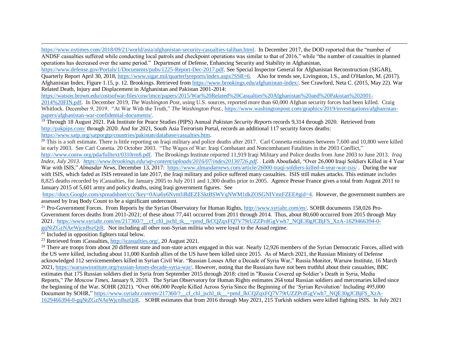[https://www.nytimes.com/2018/09/21/world/asia/afghanistan-security-casualties-taliban.html.](https://www.nytimes.com/2018/09/21/world/asia/afghanistan-security-casualties-taliban.html) In December 2017, the DOD reported that the "number of ANDSF casualties suffered while conducting local patrols and checkpoint operations was similar to that of 2016," while "the number of casualties in planned operations has decreased over the same period." Department of Defense, Enhancing Security and Stability in Afghanistan,

[https://www.defense.gov/Portals/1/Documents/pubs/1225-Report-Dec-2017.pdf.](https://www.defense.gov/Portals/1/Documents/pubs/1225-Report-Dec-2017.pdf) See Special Inspector General for Afghanistan Reconstruction (SIGAR), Quarterly Report April 30, 2018, [https://www.sigar.mil/quarterlyreports/index.aspx?SSR=6.](https://www.sigar.mil/quarterlyreports/index.aspx?SSR=6) Also for trends see, Livingston, I.S., and O'Hanlon, M. (2017). Afghanistan Index, Figure 1.15, p. 12*.* Brookings. Retrieved fro[m https://www.brookings.edu/afghanistan-index/.](https://www.brookings.edu/afghanistan-index/) See Crawford, Neta C. (2015, May 22). War Related Death, Injury and Displacement in Afghanistan and Pakistan 2001-2014:

[https://watson.brown.edu/costsofwar/files/cow/imce/papers/2015/War%20Related%20Casualties%20Afghanistan%20and%20Pakistan%202001-](https://watson.brown.edu/costsofwar/files/cow/imce/papers/2015/War%20Related%20Casualties%20Afghanistan%20and%20Pakistan%202001-2014%20FIN.pdf)

[2014%20FIN.pdf.](https://watson.brown.edu/costsofwar/files/cow/imce/papers/2015/War%20Related%20Casualties%20Afghanistan%20and%20Pakistan%202001-2014%20FIN.pdf) In December 2019, *The Washington Post,* using U.S. sources, reported more than 60,000 Afghan security forces had been killed. Craig Whitlock. December 9, 2019. "At War With the Truth," *The Washington Post.*[, https://www.washingtonpost.com/graphics/2019/investigations/afghanistan](https://www.washingtonpost.com/graphics/2019/investigations/afghanistan-papers/afghanistan-war-confidential-documents/)[papers/afghanistan-war-confidential-documents/.](https://www.washingtonpost.com/graphics/2019/investigations/afghanistan-papers/afghanistan-war-confidential-documents/) 

<sup>19</sup> Through 18 August 2021. Pak Institute for Peace Studies (PIPS) Annual *Pakistan Security Reports* records 9,314 through 2020. Retrieved from <http://pakpips.com/> through 2020. And for 2021, South Asia Terrorism Portal, records an additional 117 security forces deaths: [https://www.satp.org/satporgtp/countries/pakistan/database/casualties.htm.](https://www.satp.org/satporgtp/countries/pakistan/database/casualties.htm)

 $^{20}$  This is a soft estimate. There is little reporting on Iraqi military and police deaths after 2017. Carl Connetta estimates between 7,600 and 10,800 were killed in early 2003. See Carl Conetta. 20 October 2003. "The Wages of War: Iraqi Combatant and Noncombatant Fatalities in the 2003 Conflict,"

[http://www.comw.org/pda/fulltext/0310rm8.pdf.](http://www.comw.org/pda/fulltext/0310rm8.pdf) The Brookings Institute reported 11,919 Iraqi Military and Police deaths from June 2003 to June 2013. *Iraq Index, July 2013. [https://www.brookings.edu/wp-content/uploads/2016/07/index20130726.pdf.](https://www.brookings.edu/wp-content/uploads/2016/07/index20130726.pdf) .* Leith Aboufadel, "Over 26,000 Iraqi Soldiers Killed in 4 Year War with ISIS," *Almasdar News*, December 13, 2017: <https://www.almasdarnews.com/article/26000-iraqi-soldiers-killed-4-year-war-isis/>. During the war with ISIS, which faded as ISIS retreated in late 2017, the Iraqi military and police suffered many casualties. ISIS still makes attacks. This estimate includes 8,825 deaths recorded by iCasualties, for January 2005 to July 2011 and 1,300 deaths prior to 2005. Agence Presse France gives a total from August 2011 to January 2015 of 5,601 army and policy deaths, using Iraqi government figures. See

[https://docs.Google.com/spreadsheet/ccc?key=0Aia6y6NymliRdEZESktBSWVqNWM1dkZOSGNIVmtFZEE#gid=4.](https://docs.google.com/spreadsheet/ccc?key=0Aia6y6NymliRdEZESktBSWVqNWM1dkZOSGNIVmtFZEE#gid=4) However, the government numbers are assessed by Iraq Body Count to be a significant undercount.

<sup>21</sup> Pro-Government Forces. From Reports by the Syrian Observatory for Human Rights,  $\frac{http://www.syriahr.com/en/. SOHR documents 158,026 Pro-$ Government forces deaths from 2011-2021; of these about 77,441 occurred from 2011 through 2014. Thus, about 80,600 occurred from 2015 through May 2021. https://www.syriahr.com/en/217360/? cf chl\_jschl\_tk\_=pmd\_fkCQZqxFQ7V79rUZZPrdGgVwh7\_NQE30gJCBjFS\_XzA-1629466394-0-

[gqNtZGzNAeWjcnBszQiR.](https://www.syriahr.com/en/217360/?__cf_chl_jschl_tk__=pmd_fkCQZqxFQ7V79rUZZPrdGgVwh7_NQE30gJCBjFS_XzA-1629466394-0-gqNtZGzNAeWjcnBszQiR) Not including all other non-Syrian militia who were loyal to the Assad regime.

 $\frac{22}{22}$  Included in opposition fighters total below.

 $\overline{a}$ 

<sup>23</sup> Retrieved from iCasualties[, http://icasualties.org/,](http://icasualties.org/) 20 August 2021.

<sup>24</sup> There are troops from about 20 different state and non-state actors engaged in this war. Nearly 12,926 members of the Syrian Democratic Forces, allied with the US were killed, including about 11,000 Kurdish allies of the US have been killed since 2015. As of March 2021, the Russian Ministry of Defense acknowledged 112 servicemembers killed in Syrian Civil War. "Russian Losses After a Decade of Syria War," Russia Monitor, Warsaw Institute, 16 March 2021[, https://warsawinstitute.org/russian-losses-decade-syria-war/.](https://warsawinstitute.org/russian-losses-decade-syria-war/) However, noting that the Russians have not been truthful about their casualties, BBC estimates that 175 Russian soldiers died in Syria from September 2015 through 2018: cited in "Russia Covered up Soldier's Death in Syria, Media Reports," *The Moscow Times*, January 9, 2019. The Syrian Observatory for Human Rights estimates 264 total Russian soldiers and mercenaries killed since the beginning of the War. SOHR (2021). "Over 606,000 People Killed Across Syria Since the Beginning of the 'Syrian Revolution' Including 495,000 Document by SOHR," https://www.syriahr.com/en/217360/?\_cf\_chl\_jschl\_tk\_\_=pmd\_fkCQZqxFQ7V79rUZZPrdGgVwh7\_NQE30gJCBjFS\_XzA-[1629466394-0-gqNtZGzNAeWjcnBszQiR.](https://www.syriahr.com/en/217360/?__cf_chl_jschl_tk__=pmd_fkCQZqxFQ7V79rUZZPrdGgVwh7_NQE30gJCBjFS_XzA-1629466394-0-gqNtZGzNAeWjcnBszQiR) SOHR estimates that from 2016 through May 2021, 215 Turkish soldiers were killed fighting ISIS. In July 2021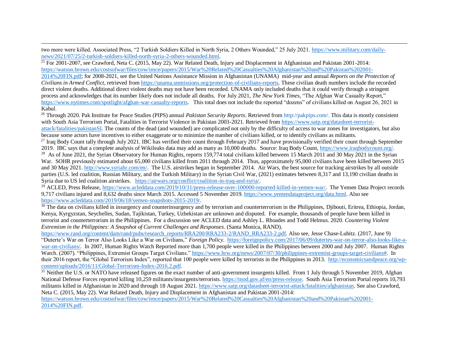$\overline{a}$ two more were killed. Associated Press, "2 Turkish Soldiers Killed in North Syria, 2 Others Wounded," 25 July 2021. [https://www.military.com/daily](https://www.military.com/daily-news/2021/07/25/2-turkish-soldiers-killed-north-syria-2-others-wounded.html)[news/2021/07/25/2-turkish-soldiers-killed-north-syria-2-others-wounded.html.](https://www.military.com/daily-news/2021/07/25/2-turkish-soldiers-killed-north-syria-2-others-wounded.html)

<sup>25</sup> For 2001-2007, see Crawford, Neta C. (2015, May 22). War Related Death, Injury and Displacement in Afghanistan and Pakistan 2001-2014: [https://watson.brown.edu/costsofwar/files/cow/imce/papers/2015/War%20Related%20Casualties%20Afghanistan%20and%20Pakistan%202001-](https://watson.brown.edu/costsofwar/files/cow/imce/papers/2015/War%20Related%20Casualties%20Afghanistan%20and%20Pakistan%202001-2014%20FIN.pdf) [2014%20FIN.pdf;](https://watson.brown.edu/costsofwar/files/cow/imce/papers/2015/War%20Related%20Casualties%20Afghanistan%20and%20Pakistan%202001-2014%20FIN.pdf) for 2008-2021, see the United Nations Assistance Mission in Afghanistan (UNAMA) mid-year and annual *Reports on the Protection of Civilians in Armed Conflict*, retrieved fro[m https://unama.unmissions.org/protection-of-civilians-reports.](https://unama.unmissions.org/protection-of-civilians-reports) These civilian death numbers include the recorded direct violent deaths. Additional direct violent deaths may not have been recorded. UNAMA only included deaths that it could verify through a stringent process and acknowledges that its number likely does not include all deaths. For July 2021, *The New York Times,* "The Afghan War Casualty Report," [https://www.nytimes.com/spotlight/afghan-war-casualty-reports.](https://www.nytimes.com/spotlight/afghan-war-casualty-reports) This total does not include the reported "dozens" of civilians killed on August 26, 2021 in Kabul.

<sup>26</sup> Through 2020. Pak Institute for Peace Studies (PIPS) annual *Pakistan Security Reports*. Retrieved from [http://pakpips.com/.](http://pakpips.com/) This data is mostly consistent with South Asia Terrorism Portal, Fatalities in Terrorist Violence in Pakistan 2003-2021. Retrieved from [https://www.satp.org/datasheet-terrorist](https://www.satp.org/datasheet-terrorist-attack/fatalities/pakistanSI)[attack/fatalities/pakistanSI.](https://www.satp.org/datasheet-terrorist-attack/fatalities/pakistanSI) The counts of the dead (and wounded) are complicated not only by the difficulty of access to war zones for investigators, but also because some actors have incentives to either exaggerate or to minimize the number of civilians killed, or to identify civilians as militants.

<sup>27</sup> Iraq Body Count tally through July 2021. IBC has verified their count through February 2017 and have provisionally verified their count through September 2019. IBC says that a complete analysis of Wikileaks data may add as many as 10,000 deaths. Source: Iraq Body Count[, https://www.iraqbodycount.org/.](https://www.iraqbodycount.org/)

<sup>28</sup> As of June 2021, the Syrian Observatory for Human Rights, reports 159,774 total civilians killed between 15 March 2011 and 30 May 2021 in the Syrian War. SOHR previously estimated about 65,000 civilians killed from 2011 through 2014. Thus, approximately 95,000 civilians have been killed between 2015 and 30 May 2021. [http://www.syriahr.com/en/.](http://www.syriahr.com/en/) The U.S. airstrikes began in September 2014. Air Wars, the best source for tracking airstrikes by all outside parties (U.S. led coalition, Russian Military, and the Turkish Military) in the Syrian Civil War, (2021) estimates between 8,317 and 13,190 civilian deaths in Syria due to US led coalition airstrikes. [https://airwars.org/conflict/coalition-in-iraq-and-syria/.](https://airwars.org/conflict/coalition-in-iraq-and-syria/)

<sup>29</sup> ACLED, Press Release[, https://www.acleddata.com/2019/10/31/press-release-over-100000-reported-killed-in-yemen-war/.](https://www.acleddata.com/2019/10/31/press-release-over-100000-reported-killed-in-yemen-war/) The Yemen Data Project records 9,717 civilians injured and 8,632 deaths since March 2015. Accessed 5 November 2019. [https://www.yemendataproject.org/data.html.](https://www.yemendataproject.org/data.html) Also see [https://www.acleddata.com/2019/06/18/yemen-snapshots-2015-2019/.](https://www.acleddata.com/2019/06/18/yemen-snapshots-2015-2019/)

 $30$  The data on civilians killed in insurgency and counterinsurgency and by terrorism and counterterrorism in the Philippines, Djibouti, Eritrea, Ethiopia, Jordan, Kenya, Kyrgyzstan, Seychelles, Sudan, Tajikistan, Turkey, Uzbekistan are unknown and disputed. For example, thousands of people have been killed in terrorist and counterterrorism in the Philippines. For a discussion see ACLED data and Ashley L. Rhoades and Todd Helmus. 2020. *Countering Violent Extremism in the Philippines: A Snapshot of Current Challenges and Responses*. (Santa Monica, RAND).

[https://www.rand.org/content/dam/rand/pubs/research\\_reports/RRA200/RRA233-2/RAND\\_RRA233-2.pdf.](https://www.rand.org/content/dam/rand/pubs/research_reports/RRA200/RRA233-2/RAND_RRA233-2.pdf) Also see, Jesse Chase-Lubitz. (2017, June 9) "Duterte's War on Terror Also Looks Like a War on Civilians," *Foreign Policy*. [https://foreignpolicy.com/2017/06/09/dutertes-war-on-terror-also-looks-like-a](https://foreignpolicy.com/2017/06/09/dutertes-war-on-terror-also-looks-like-a-war-on-civilians/)[war-on-civilians/.](https://foreignpolicy.com/2017/06/09/dutertes-war-on-terror-also-looks-like-a-war-on-civilians/) In 2007, Human Rights Watch Reported more than 1,700 people were killed in the Philippines between 2000 and July 2007. Human Rights Watch. (2007). "Philippines, Extremist Groups Target Civilians." [https://www.hrw.org/news/2007/07/30/philippines-extremist-groups-target-civilians#.](https://www.hrw.org/news/2007/07/30/philippines-extremist-groups-target-civilians) In their 2016 report, the "Global Terrorism Index", reported that 100 people were killed by terrorists in the Philippines in 2013. [http://economicsandpeace.org/wp](http://economicsandpeace.org/wp-content/uploads/2016/11/Global-Terrorism-Index-2016.2.pdf)[content/uploads/2016/11/Global-Terrorism-Index-2016.2.pdf.](http://economicsandpeace.org/wp-content/uploads/2016/11/Global-Terrorism-Index-2016.2.pdf)

 $31$  Neither the U.S. or NATO have released figures on the exact number of anti-government insurgents killed. From 1 July through 5 November 2019, Afghan National Defense Forces reported killing 10,259 militants/insurgents/terrorists. [https://mod.gov.af/en/press-release.](https://mod.gov.af/en/press-release) South Asia Terrorism Portal reports 10,793 militants killed in Afghanistan in 2020 and through 18 August 2021. [https://www.satp.org/datasheet-terrorist-attack/fatalities/afghanistan.](https://www.satp.org/datasheet-terrorist-attack/fatalities/afghanistan) See also Crawford, Neta C. (2015, May 22). War Related Death, Injury and Displacement in Afghanistan and Pakistan 2001-2014:

[https://watson.brown.edu/costsofwar/files/cow/imce/papers/2015/War%20Related%20Casualties%20Afghanistan%20and%20Pakistan%202001-](https://watson.brown.edu/costsofwar/files/cow/imce/papers/2015/War%20Related%20Casualties%20Afghanistan%20and%20Pakistan%202001-2014%20FIN.pdf) [2014%20FIN.pdf.](https://watson.brown.edu/costsofwar/files/cow/imce/papers/2015/War%20Related%20Casualties%20Afghanistan%20and%20Pakistan%202001-2014%20FIN.pdf)